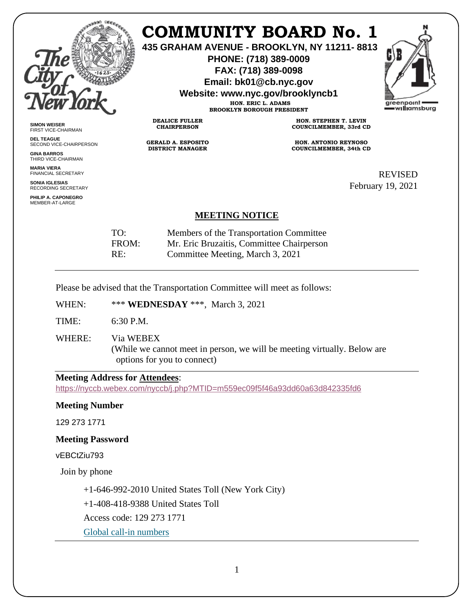

# **COMMUNITY BOARD No. 1**

**435 GRAHAM AVENUE - BROOKLYN, NY 11211- 8813**

**PHONE: (718) 389-0009 FAX: (718) 389-0098**

**Email: bk01@cb.nyc.gov**

**Website: www.nyc.gov/brooklyncb1**

**HON. ERIC L. ADAMS BROOKLYN BOROUGH PRESIDENT**



**SIMON WEISER** FIRST VICE-CHAIRMAN

**DEL TEAGUE** SECOND VICE-CHAIRPERSON

**GINA BARROS** THIRD VICE-CHAIRMAN

**MARIA VIERA** FINANCIAL SECRETARY

**SONIA IGLESIAS** RECORDING SECRETARY

**PHILIP A. CAPONEGRO** MEMBER-AT-LARGE

**DEALICE FULLER CHAIRPERSON**

**GERALD A. ESPOSITO DISTRICT MANAGER**

**HON. STEPHEN T. LEVIN COUNCILMEMBER, 33rd CD**

**HON. ANTONIO REYNOSO COUNCILMEMBER, 34th CD**

> REVISED February 19, 2021

### **MEETING NOTICE**

| TO:   | Members of the Transportation Committee   |
|-------|-------------------------------------------|
| FROM: | Mr. Eric Bruzaitis, Committee Chairperson |
| RE:   | Committee Meeting, March 3, 2021          |

Please be advised that the Transportation Committee will meet as follows:

WHEN: \*\*\* **WEDNESDAY** \*\*\*, March 3, 2021

TIME: 6:30 P.M.

WHERE: Via WEBEX

(While we cannot meet in person, we will be meeting virtually. Below are options for you to connect)

#### **Meeting Address for Attendees**:

<https://nyccb.webex.com/nyccb/j.php?MTID=m559ec09f5f46a93dd60a63d842335fd6>

#### **Meeting Number**

129 273 1771

#### **Meeting Password**

vEBCtZiu793

Join by phone

+1-646-992-2010 United States Toll (New York City)

+1-408-418-9388 United States Toll

Access code: 129 273 1771

[Global call-in numbers](javascript:void(0);)